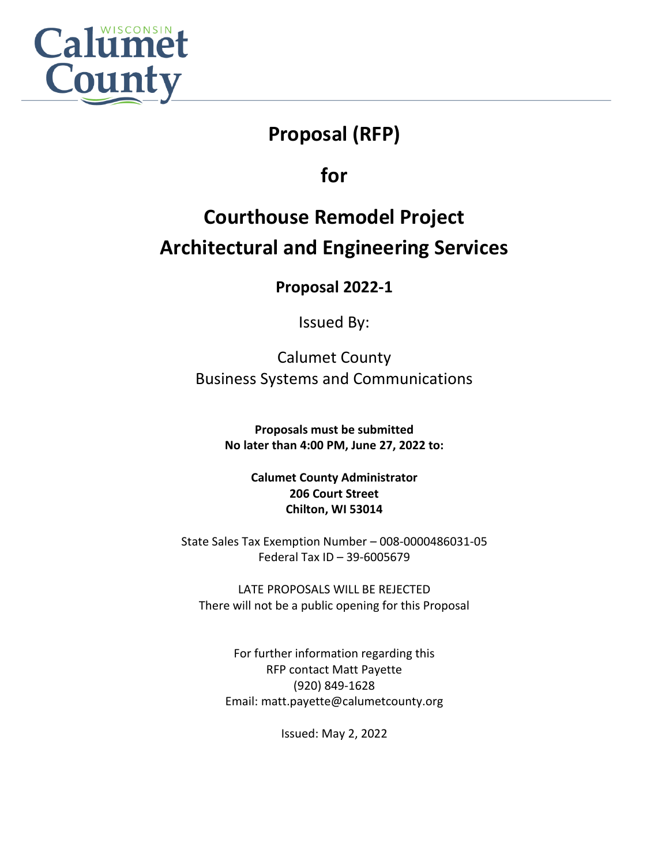

# **Proposal (RFP)**

**Request for** 

**for**

# **Courthouse Remodel Project Architectural and Engineering Services**

**Proposal 2022-1**

Issued By:

Calumet County Business Systems and Communications

> **Proposals must be submitted No later than 4:00 PM, June 27, 2022 to:**

> > **Calumet County Administrator 206 Court Street Chilton, WI 53014**

State Sales Tax Exemption Number – 008-0000486031-05 Federal Tax ID – 39-6005679

LATE PROPOSALS WILL BE REJECTED There will not be a public opening for this Proposal

For further information regarding this RFP contact Matt Payette (920) 849-1628 Email: matt.payette@calumetcounty.org

Issued: May 2, 2022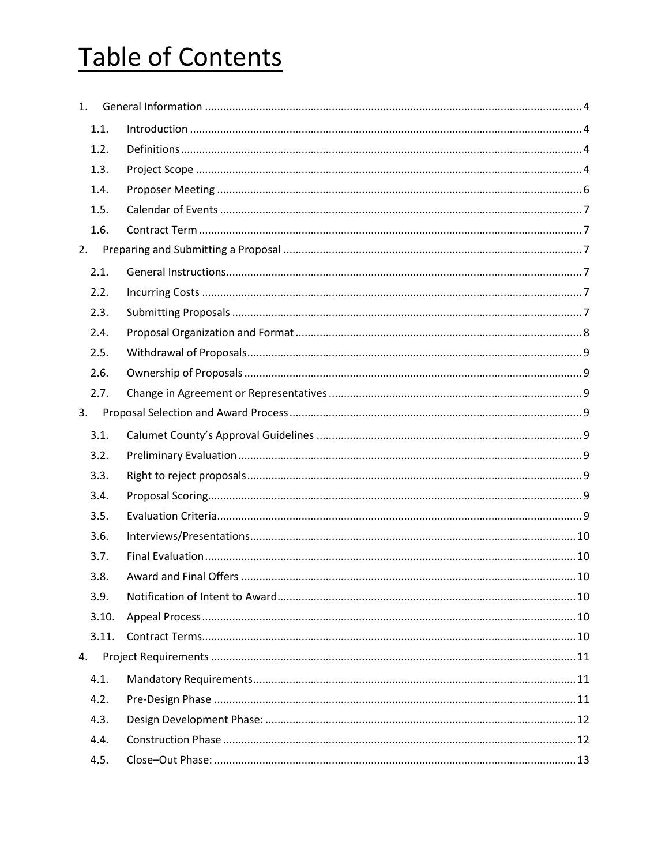# Table of Contents

| 1 <sup>1</sup> |  |
|----------------|--|
| 1.1.           |  |
| 1.2.           |  |
| 1.3.           |  |
| 1.4.           |  |
| 1.5.           |  |
| 1.6.           |  |
| 2.             |  |
| 2.1.           |  |
| 2.2.           |  |
| 2.3.           |  |
| 2.4.           |  |
| 2.5.           |  |
| 2.6.           |  |
| 2.7.           |  |
| 3.             |  |
| 3.1.           |  |
| 3.2.           |  |
| 3.3.           |  |
| 3.4.           |  |
| 3.5.           |  |
| 3.6.           |  |
| 3.7.           |  |
| 3.8.           |  |
| 3.9.           |  |
| 3.10.          |  |
| 3.11.          |  |
| 4.             |  |
| 4.1.           |  |
| 4.2.           |  |
| 4.3.           |  |
| 4.4.           |  |
| 4.5.           |  |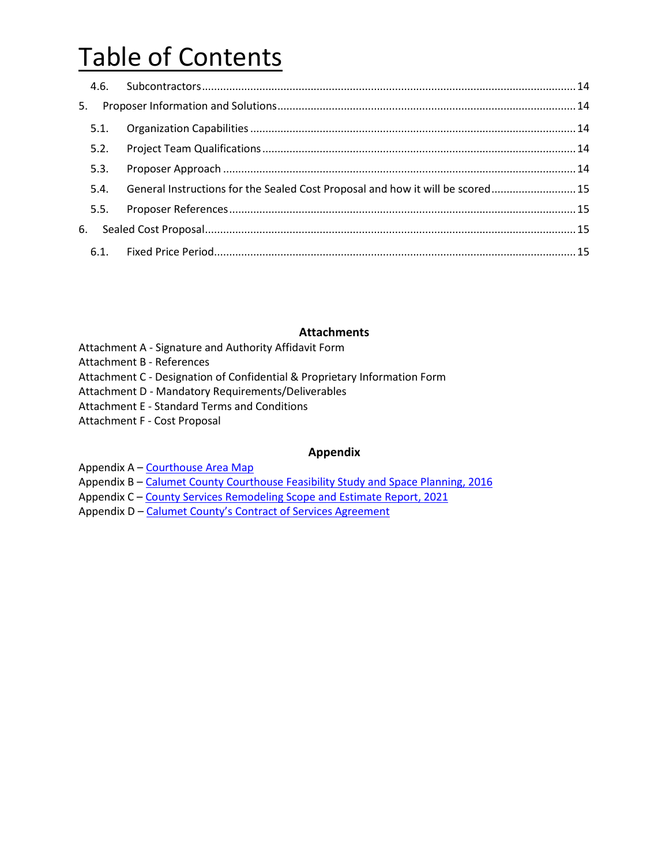# Table of Contents

| 5.   |                                                                                |  |
|------|--------------------------------------------------------------------------------|--|
| 5.1. |                                                                                |  |
| 5.2. |                                                                                |  |
| 5.3. |                                                                                |  |
| 5.4. | General Instructions for the Sealed Cost Proposal and how it will be scored 15 |  |
| 5.5. |                                                                                |  |
| 6.   |                                                                                |  |
|      |                                                                                |  |

#### **Attachments**

- Attachment A Signature and Authority Affidavit Form
- Attachment B References
- Attachment C Designation of Confidential & Proprietary Information Form
- Attachment D Mandatory Requirements/Deliverables
- Attachment E Standard Terms and Conditions
- Attachment F Cost Proposal

#### **Appendix**

- Appendix A [Courthouse Area Map](https://www.co.calumet.wi.us/DocumentCenter/View/8243/Attachment-A)
- Appendix B [Calumet County Courthouse Feasibility Study and Space Planning, 2016](https://www.co.calumet.wi.us/DocumentCenter/View/8217/Feasibility-Study-and-Space-Planning-2016)
- Appendix C [County Services Remodeling Scope and Estimate Report, 2021](https://www.co.calumet.wi.us/DocumentCenter/View/8218/Scope-and-Estimate-Report-2021)
- Appendix D [Calumet County's Contract of Services Agreemen](https://www.co.calumet.wi.us/DocumentCenter/View/8267/Construction-Services-Contract)t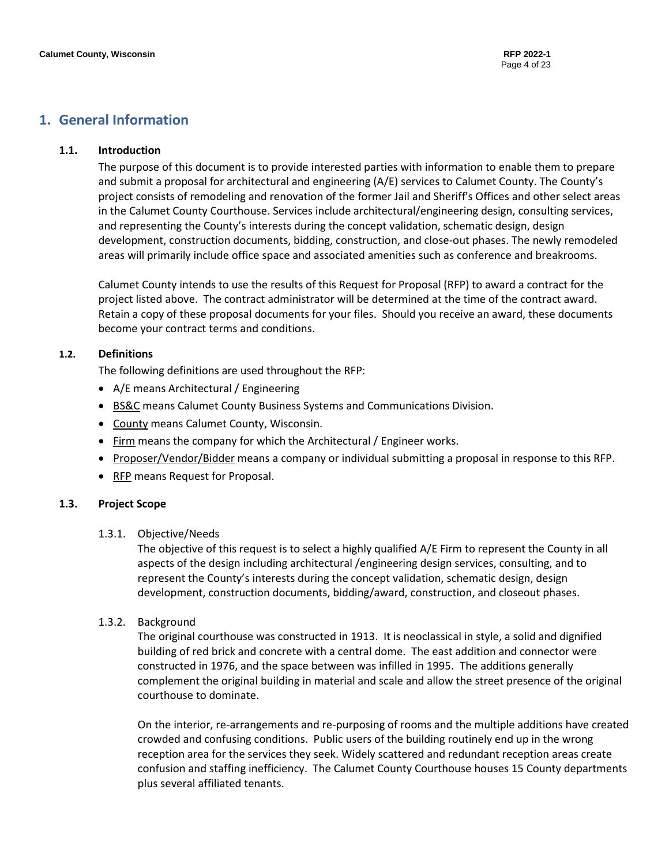# <span id="page-3-1"></span><span id="page-3-0"></span>**1. General Information**

#### **1.1. Introduction**

The purpose of this document is to provide interested parties with information to enable them to prepare and submit a proposal for architectural and engineering (A/E) services to Calumet County. The County's project consists of remodeling and renovation of the former Jail and Sheriff's Offices and other select areas in the Calumet County Courthouse. Services include architectural/engineering design, consulting services, and representing the County's interests during the concept validation, schematic design, design development, construction documents, bidding, construction, and close-out phases. The newly remodeled areas will primarily include office space and associated amenities such as conference and breakrooms.

Calumet County intends to use the results of this Request for Proposal (RFP) to award a contract for the project listed above. The contract administrator will be determined at the time of the contract award. Retain a copy of these proposal documents for your files. Should you receive an award, these documents become your contract terms and conditions.

#### <span id="page-3-2"></span>**1.2. Definitions**

The following definitions are used throughout the RFP:

- A/E means Architectural / Engineering
- BS&C means Calumet County Business Systems and Communications Division.
- County means Calumet County, Wisconsin.
- Firm means the company for which the Architectural / Engineer works.
- Proposer/Vendor/Bidder means a company or individual submitting a proposal in response to this RFP.
- RFP means Request for Proposal.

#### <span id="page-3-3"></span>**1.3. Project Scope**

#### 1.3.1. Objective/Needs

The objective of this request is to select a highly qualified A/E Firm to represent the County in all aspects of the design including architectural /engineering design services, consulting, and to represent the County's interests during the concept validation, schematic design, design development, construction documents, bidding/award, construction, and closeout phases.

#### 1.3.2. Background

The original courthouse was constructed in 1913. It is neoclassical in style, a solid and dignified building of red brick and concrete with a central dome. The east addition and connector were constructed in 1976, and the space between was infilled in 1995. The additions generally complement the original building in material and scale and allow the street presence of the original courthouse to dominate.

On the interior, re-arrangements and re-purposing of rooms and the multiple additions have created crowded and confusing conditions. Public users of the building routinely end up in the wrong reception area for the services they seek. Widely scattered and redundant reception areas create confusion and staffing inefficiency. The Calumet County Courthouse houses 15 County departments plus several affiliated tenants.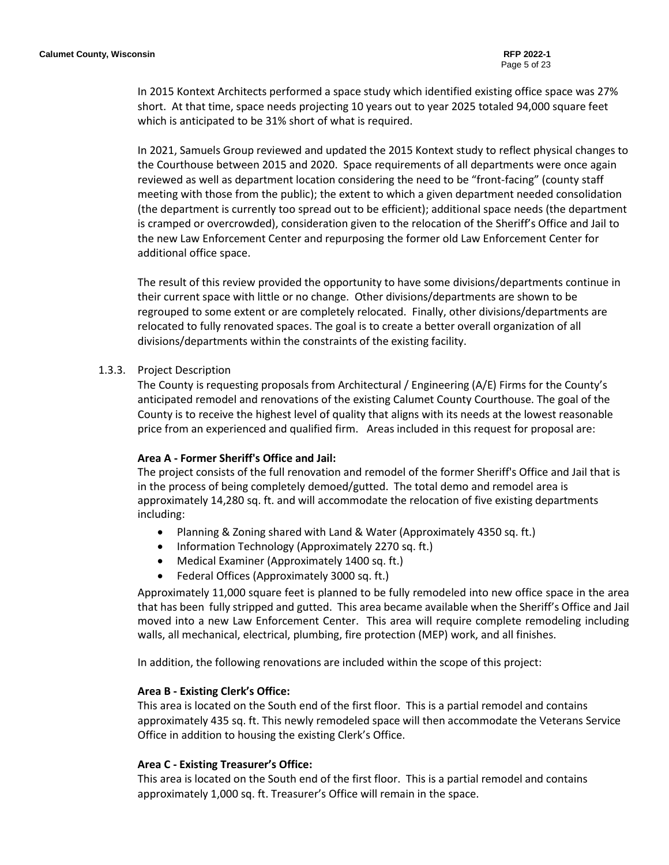In 2015 Kontext Architects performed a space study which identified existing office space was 27% short. At that time, space needs projecting 10 years out to year 2025 totaled 94,000 square feet which is anticipated to be 31% short of what is required.

In 2021, Samuels Group reviewed and updated the 2015 Kontext study to reflect physical changes to the Courthouse between 2015 and 2020. Space requirements of all departments were once again reviewed as well as department location considering the need to be "front-facing" (county staff meeting with those from the public); the extent to which a given department needed consolidation (the department is currently too spread out to be efficient); additional space needs (the department is cramped or overcrowded), consideration given to the relocation of the Sheriff's Office and Jail to the new Law Enforcement Center and repurposing the former old Law Enforcement Center for additional office space.

The result of this review provided the opportunity to have some divisions/departments continue in their current space with little or no change. Other divisions/departments are shown to be regrouped to some extent or are completely relocated. Finally, other divisions/departments are relocated to fully renovated spaces. The goal is to create a better overall organization of all divisions/departments within the constraints of the existing facility.

#### 1.3.3. Project Description

The County is requesting proposals from Architectural / Engineering (A/E) Firms for the County's anticipated remodel and renovations of the existing Calumet County Courthouse. The goal of the County is to receive the highest level of quality that aligns with its needs at the lowest reasonable price from an experienced and qualified firm. Areas included in this request for proposal are:

#### **Area A - Former Sheriff's Office and Jail:**

The project consists of the full renovation and remodel of the former Sheriff's Office and Jail that is in the process of being completely demoed/gutted. The total demo and remodel area is approximately 14,280 sq. ft. and will accommodate the relocation of five existing departments including:

- Planning & Zoning shared with Land & Water (Approximately 4350 sq. ft.)
- Information Technology (Approximately 2270 sq. ft.)
- Medical Examiner (Approximately 1400 sq. ft.)
- Federal Offices (Approximately 3000 sq. ft.)

Approximately 11,000 square feet is planned to be fully remodeled into new office space in the area that has been fully stripped and gutted. This area became available when the Sheriff's Office and Jail moved into a new Law Enforcement Center. This area will require complete remodeling including walls, all mechanical, electrical, plumbing, fire protection (MEP) work, and all finishes.

In addition, the following renovations are included within the scope of this project:

#### **Area B - Existing Clerk's Office:**

This area is located on the South end of the first floor. This is a partial remodel and contains approximately 435 sq. ft. This newly remodeled space will then accommodate the Veterans Service Office in addition to housing the existing Clerk's Office.

#### **Area C - Existing Treasurer's Office:**

This area is located on the South end of the first floor. This is a partial remodel and contains approximately 1,000 sq. ft. Treasurer's Office will remain in the space.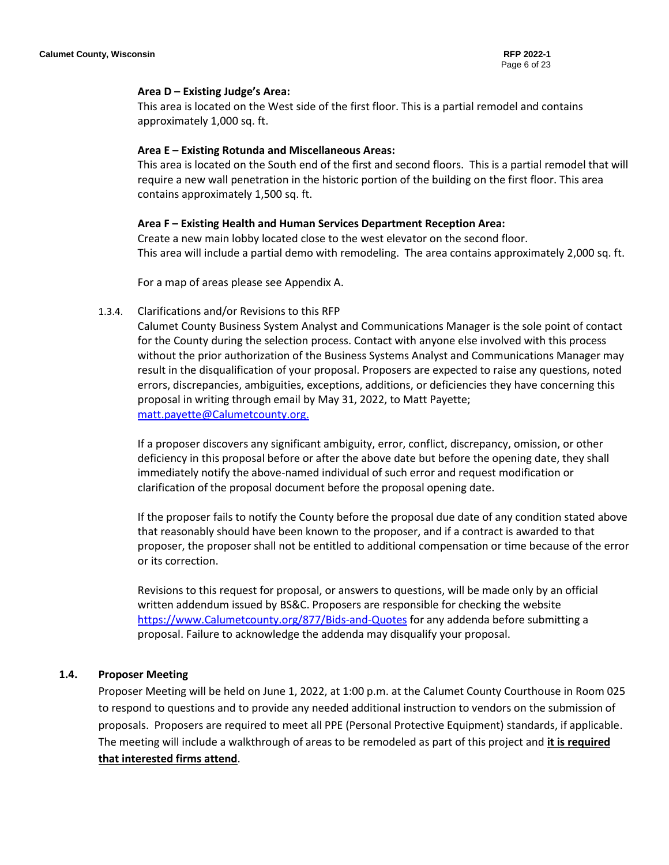#### **Area D – Existing Judge's Area:**

This area is located on the West side of the first floor. This is a partial remodel and contains approximately 1,000 sq. ft.

#### **Area E – Existing Rotunda and Miscellaneous Areas:**

This area is located on the South end of the first and second floors. This is a partial remodel that will require a new wall penetration in the historic portion of the building on the first floor. This area contains approximately 1,500 sq. ft.

#### **Area F – Existing Health and Human Services Department Reception Area:**

Create a new main lobby located close to the west elevator on the second floor. This area will include a partial demo with remodeling. The area contains approximately 2,000 sq. ft.

For a map of areas please see Appendix A.

#### 1.3.4. Clarifications and/or Revisions to this RFP

Calumet County Business System Analyst and Communications Manager is the sole point of contact for the County during the selection process. Contact with anyone else involved with this process without the prior authorization of the Business Systems Analyst and Communications Manager may result in the disqualification of your proposal. Proposers are expected to raise any questions, noted errors, discrepancies, ambiguities, exceptions, additions, or deficiencies they have concerning this proposal in writing through email by May 31, 2022, to Matt Payette; [matt.payette@Calumetcounty.org.](mailto:brent.jalonen@calumetcounty.org)

If a proposer discovers any significant ambiguity, error, conflict, discrepancy, omission, or other deficiency in this proposal before or after the above date but before the opening date, they shall immediately notify the above-named individual of such error and request modification or clarification of the proposal document before the proposal opening date.

If the proposer fails to notify the County before the proposal due date of any condition stated above that reasonably should have been known to the proposer, and if a contract is awarded to that proposer, the proposer shall not be entitled to additional compensation or time because of the error or its correction.

Revisions to this request for proposal, or answers to questions, will be made only by an official written addendum issued by BS&C. Proposers are responsible for checking the website [https://www.Calumetcounty.org/877/Bids-and-Quotes](https://www.calumetcounty.org/877/Bids-and-Quotes) for any addenda before submitting a proposal. Failure to acknowledge the addenda may disqualify your proposal.

#### <span id="page-5-0"></span>**1.4. Proposer Meeting**

Proposer Meeting will be held on June 1, 2022, at 1:00 p.m. at the Calumet County Courthouse in Room 025 to respond to questions and to provide any needed additional instruction to vendors on the submission of proposals. Proposers are required to meet all PPE (Personal Protective Equipment) standards, if applicable. The meeting will include a walkthrough of areas to be remodeled as part of this project and **it is required that interested firms attend**.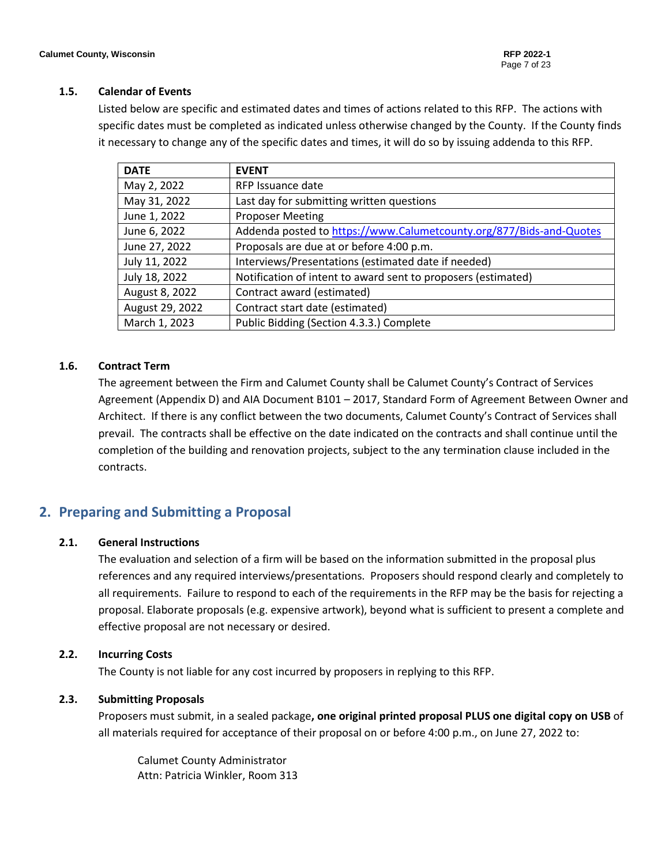#### <span id="page-6-0"></span>**1.5. Calendar of Events**

Listed below are specific and estimated dates and times of actions related to this RFP. The actions with specific dates must be completed as indicated unless otherwise changed by the County. If the County finds it necessary to change any of the specific dates and times, it will do so by issuing addenda to this RFP.

| <b>DATE</b>     | <b>EVENT</b>                                                        |
|-----------------|---------------------------------------------------------------------|
| May 2, 2022     | RFP Issuance date                                                   |
| May 31, 2022    | Last day for submitting written questions                           |
| June 1, 2022    | <b>Proposer Meeting</b>                                             |
| June 6, 2022    | Addenda posted to https://www.Calumetcounty.org/877/Bids-and-Quotes |
| June 27, 2022   | Proposals are due at or before 4:00 p.m.                            |
| July 11, 2022   | Interviews/Presentations (estimated date if needed)                 |
| July 18, 2022   | Notification of intent to award sent to proposers (estimated)       |
| August 8, 2022  | Contract award (estimated)                                          |
| August 29, 2022 | Contract start date (estimated)                                     |
| March 1, 2023   | Public Bidding (Section 4.3.3.) Complete                            |

#### <span id="page-6-1"></span>**1.6. Contract Term**

The agreement between the Firm and Calumet County shall be Calumet County's Contract of Services Agreement (Appendix D) and AIA Document B101 – 2017, Standard Form of Agreement Between Owner and Architect. If there is any conflict between the two documents, Calumet County's Contract of Services shall prevail. The contracts shall be effective on the date indicated on the contracts and shall continue until the completion of the building and renovation projects, subject to the any termination clause included in the contracts.

# <span id="page-6-3"></span><span id="page-6-2"></span>**2. Preparing and Submitting a Proposal**

#### **2.1. General Instructions**

The evaluation and selection of a firm will be based on the information submitted in the proposal plus references and any required interviews/presentations. Proposers should respond clearly and completely to all requirements. Failure to respond to each of the requirements in the RFP may be the basis for rejecting a proposal. Elaborate proposals (e.g. expensive artwork), beyond what is sufficient to present a complete and effective proposal are not necessary or desired.

#### <span id="page-6-4"></span>**2.2. Incurring Costs**

The County is not liable for any cost incurred by proposers in replying to this RFP.

#### <span id="page-6-5"></span>**2.3. Submitting Proposals**

Proposers must submit, in a sealed package**, one original printed proposal PLUS one digital copy on USB** of all materials required for acceptance of their proposal on or before 4:00 p.m., on June 27, 2022 to:

Calumet County Administrator Attn: Patricia Winkler, Room 313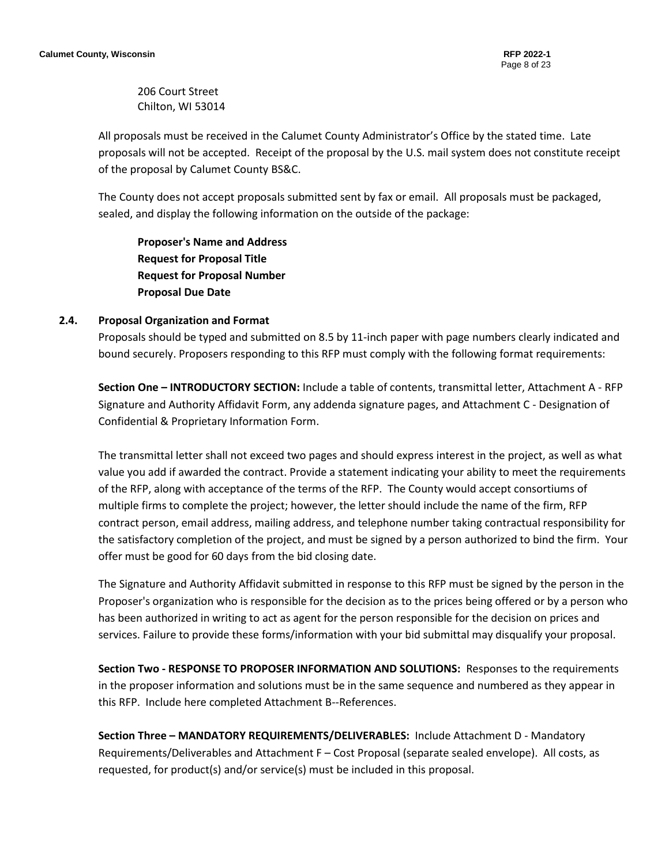206 Court Street Chilton, WI 53014

All proposals must be received in the Calumet County Administrator's Office by the stated time. Late proposals will not be accepted. Receipt of the proposal by the U.S. mail system does not constitute receipt of the proposal by Calumet County BS&C.

The County does not accept proposals submitted sent by fax or email. All proposals must be packaged, sealed, and display the following information on the outside of the package:

**Proposer's Name and Address Request for Proposal Title Request for Proposal Number Proposal Due Date**

#### <span id="page-7-0"></span>**2.4. Proposal Organization and Format**

Proposals should be typed and submitted on 8.5 by 11-inch paper with page numbers clearly indicated and bound securely. Proposers responding to this RFP must comply with the following format requirements:

**Section One – INTRODUCTORY SECTION:** Include a table of contents, transmittal letter, Attachment A - RFP Signature and Authority Affidavit Form, any addenda signature pages, and Attachment C - Designation of Confidential & Proprietary Information Form.

The transmittal letter shall not exceed two pages and should express interest in the project, as well as what value you add if awarded the contract. Provide a statement indicating your ability to meet the requirements of the RFP, along with acceptance of the terms of the RFP. The County would accept consortiums of multiple firms to complete the project; however, the letter should include the name of the firm, RFP contract person, email address, mailing address, and telephone number taking contractual responsibility for the satisfactory completion of the project, and must be signed by a person authorized to bind the firm. Your offer must be good for 60 days from the bid closing date.

The Signature and Authority Affidavit submitted in response to this RFP must be signed by the person in the Proposer's organization who is responsible for the decision as to the prices being offered or by a person who has been authorized in writing to act as agent for the person responsible for the decision on prices and services. Failure to provide these forms/information with your bid submittal may disqualify your proposal.

**Section Two - RESPONSE TO PROPOSER INFORMATION AND SOLUTIONS:** Responses to the requirements in the proposer information and solutions must be in the same sequence and numbered as they appear in this RFP. Include here completed Attachment B--References.

**Section Three – MANDATORY REQUIREMENTS/DELIVERABLES:** Include Attachment D - Mandatory Requirements/Deliverables and Attachment F – Cost Proposal (separate sealed envelope). All costs, as requested, for product(s) and/or service(s) must be included in this proposal.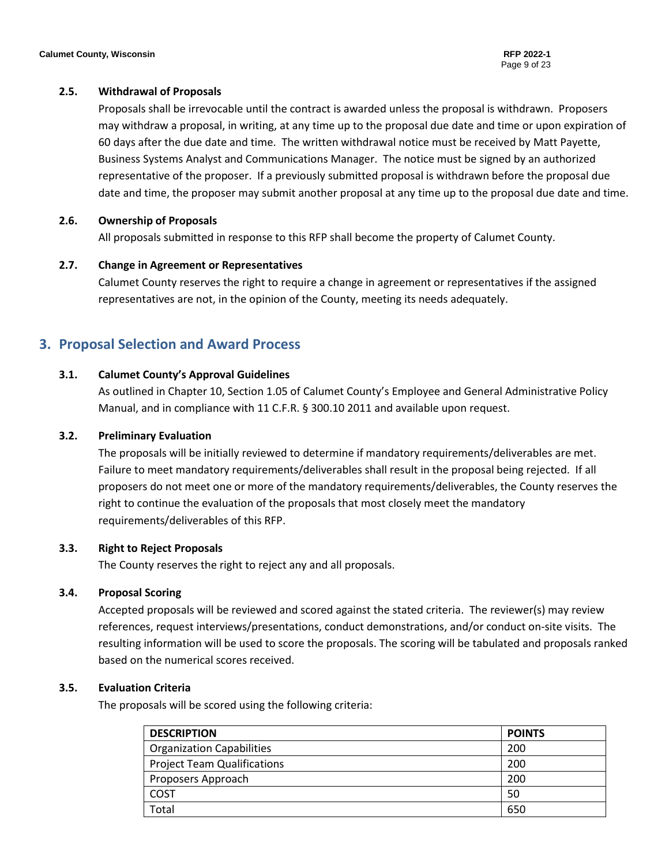#### <span id="page-8-0"></span>**2.5. Withdrawal of Proposals**

Proposals shall be irrevocable until the contract is awarded unless the proposal is withdrawn. Proposers may withdraw a proposal, in writing, at any time up to the proposal due date and time or upon expiration of 60 days after the due date and time. The written withdrawal notice must be received by Matt Payette, Business Systems Analyst and Communications Manager. The notice must be signed by an authorized representative of the proposer. If a previously submitted proposal is withdrawn before the proposal due date and time, the proposer may submit another proposal at any time up to the proposal due date and time.

#### <span id="page-8-1"></span>**2.6. Ownership of Proposals**

All proposals submitted in response to this RFP shall become the property of Calumet County.

#### <span id="page-8-2"></span>**2.7. Change in Agreement or Representatives**

Calumet County reserves the right to require a change in agreement or representatives if the assigned representatives are not, in the opinion of the County, meeting its needs adequately.

# <span id="page-8-4"></span><span id="page-8-3"></span>**3. Proposal Selection and Award Process**

#### **3.1. Calumet County's Approval Guidelines**

As outlined in Chapter 10, Section 1.05 of Calumet County's Employee and General Administrative Policy Manual, and in compliance with 11 C.F.R. § 300.10 2011 and available upon request.

#### <span id="page-8-5"></span>**3.2. Preliminary Evaluation**

The proposals will be initially reviewed to determine if mandatory requirements/deliverables are met. Failure to meet mandatory requirements/deliverables shall result in the proposal being rejected. If all proposers do not meet one or more of the mandatory requirements/deliverables, the County reserves the right to continue the evaluation of the proposals that most closely meet the mandatory requirements/deliverables of this RFP.

#### <span id="page-8-6"></span>**3.3. Right to Reject Proposals**

The County reserves the right to reject any and all proposals.

#### <span id="page-8-7"></span>**3.4. Proposal Scoring**

Accepted proposals will be reviewed and scored against the stated criteria. The reviewer(s) may review references, request interviews/presentations, conduct demonstrations, and/or conduct on-site visits. The resulting information will be used to score the proposals. The scoring will be tabulated and proposals ranked based on the numerical scores received.

#### <span id="page-8-8"></span>**3.5. Evaluation Criteria**

The proposals will be scored using the following criteria:

| <b>DESCRIPTION</b>                 | <b>POINTS</b> |
|------------------------------------|---------------|
| <b>Organization Capabilities</b>   | 200           |
| <b>Project Team Qualifications</b> | 200           |
| Proposers Approach                 | 200           |
| <b>COST</b>                        | 50            |
| Total                              | 650           |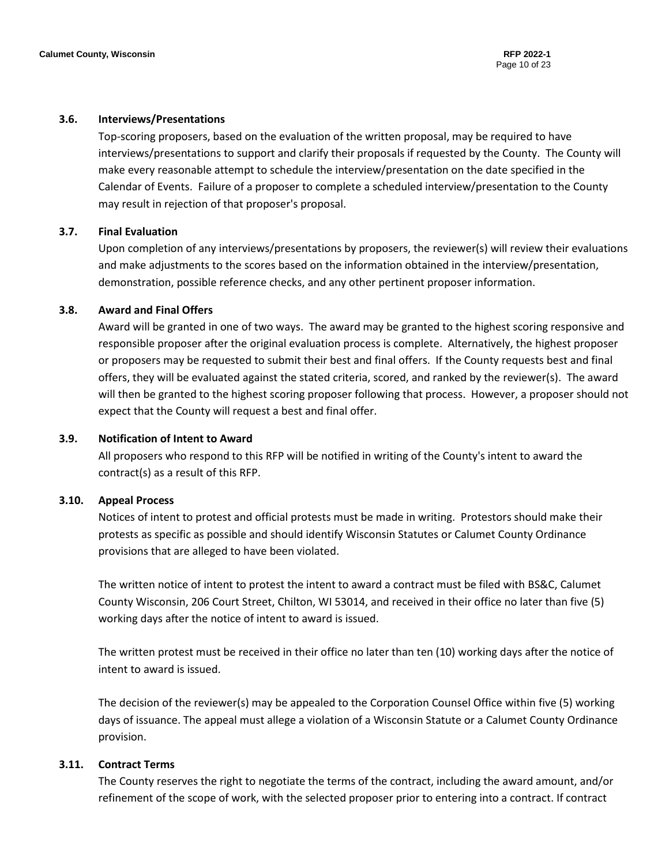#### <span id="page-9-0"></span>**3.6. Interviews/Presentations**

Top-scoring proposers, based on the evaluation of the written proposal, may be required to have interviews/presentations to support and clarify their proposals if requested by the County. The County will make every reasonable attempt to schedule the interview/presentation on the date specified in the Calendar of Events. Failure of a proposer to complete a scheduled interview/presentation to the County may result in rejection of that proposer's proposal.

#### <span id="page-9-1"></span>**3.7. Final Evaluation**

Upon completion of any interviews/presentations by proposers, the reviewer(s) will review their evaluations and make adjustments to the scores based on the information obtained in the interview/presentation, demonstration, possible reference checks, and any other pertinent proposer information.

#### <span id="page-9-2"></span>**3.8. Award and Final Offers**

Award will be granted in one of two ways. The award may be granted to the highest scoring responsive and responsible proposer after the original evaluation process is complete. Alternatively, the highest proposer or proposers may be requested to submit their best and final offers. If the County requests best and final offers, they will be evaluated against the stated criteria, scored, and ranked by the reviewer(s). The award will then be granted to the highest scoring proposer following that process. However, a proposer should not expect that the County will request a best and final offer.

#### <span id="page-9-3"></span>**3.9. Notification of Intent to Award**

All proposers who respond to this RFP will be notified in writing of the County's intent to award the contract(s) as a result of this RFP.

#### <span id="page-9-4"></span>**3.10. Appeal Process**

Notices of intent to protest and official protests must be made in writing. Protestors should make their protests as specific as possible and should identify Wisconsin Statutes or Calumet County Ordinance provisions that are alleged to have been violated.

The written notice of intent to protest the intent to award a contract must be filed with BS&C, Calumet County Wisconsin, 206 Court Street, Chilton, WI 53014, and received in their office no later than five (5) working days after the notice of intent to award is issued.

The written protest must be received in their office no later than ten (10) working days after the notice of intent to award is issued.

The decision of the reviewer(s) may be appealed to the Corporation Counsel Office within five (5) working days of issuance. The appeal must allege a violation of a Wisconsin Statute or a Calumet County Ordinance provision.

#### <span id="page-9-5"></span>**3.11. Contract Terms**

The County reserves the right to negotiate the terms of the contract, including the award amount, and/or refinement of the scope of work, with the selected proposer prior to entering into a contract. If contract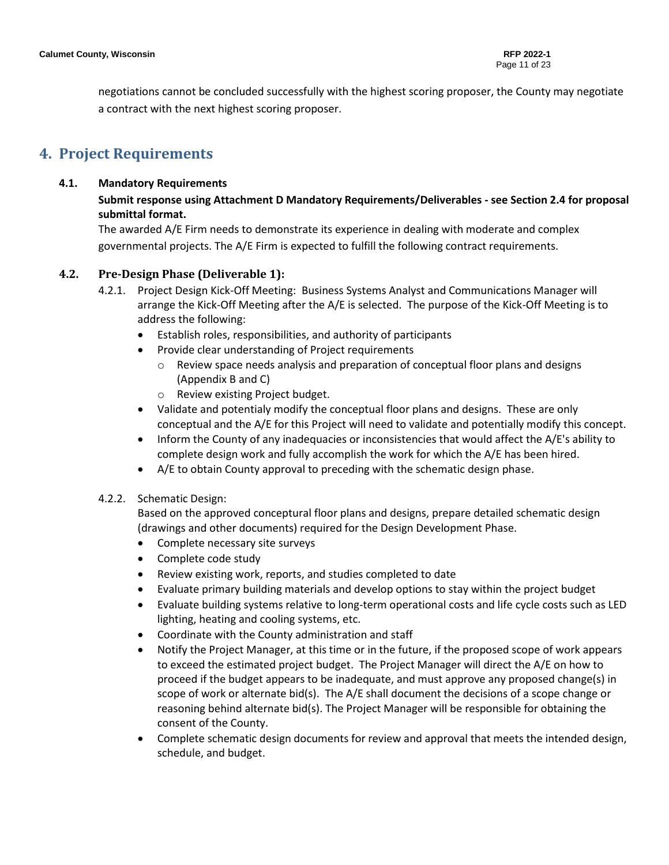negotiations cannot be concluded successfully with the highest scoring proposer, the County may negotiate a contract with the next highest scoring proposer.

# <span id="page-10-1"></span><span id="page-10-0"></span>**4. Project Requirements**

#### **4.1. Mandatory Requirements**

#### **Submit response using Attachment D Mandatory Requirements/Deliverables - see Section 2.4 for proposal submittal format.**

The awarded A/E Firm needs to demonstrate its experience in dealing with moderate and complex governmental projects. The A/E Firm is expected to fulfill the following contract requirements.

#### <span id="page-10-2"></span>**4.2. Pre-Design Phase (Deliverable 1):**

- 4.2.1. Project Design Kick-Off Meeting: Business Systems Analyst and Communications Manager will arrange the Kick-Off Meeting after the A/E is selected. The purpose of the Kick-Off Meeting is to address the following:
	- Establish roles, responsibilities, and authority of participants
	- Provide clear understanding of Project requirements
		- $\circ$  Review space needs analysis and preparation of conceptual floor plans and designs (Appendix B and C)
		- o Review existing Project budget.
	- Validate and potentialy modify the conceptual floor plans and designs. These are only conceptual and the A/E for this Project will need to validate and potentially modify this concept.
	- Inform the County of any inadequacies or inconsistencies that would affect the A/E's ability to complete design work and fully accomplish the work for which the A/E has been hired.
	- A/E to obtain County approval to preceding with the schematic design phase.
- 4.2.2. Schematic Design:

Based on the approved conceptural floor plans and designs, prepare detailed schematic design (drawings and other documents) required for the Design Development Phase.

- Complete necessary site surveys
- Complete code study
- Review existing work, reports, and studies completed to date
- Evaluate primary building materials and develop options to stay within the project budget
- Evaluate building systems relative to long-term operational costs and life cycle costs such as LED lighting, heating and cooling systems, etc.
- Coordinate with the County administration and staff
- Notify the Project Manager, at this time or in the future, if the proposed scope of work appears to exceed the estimated project budget. The Project Manager will direct the A/E on how to proceed if the budget appears to be inadequate, and must approve any proposed change(s) in scope of work or alternate bid(s). The A/E shall document the decisions of a scope change or reasoning behind alternate bid(s). The Project Manager will be responsible for obtaining the consent of the County.
- Complete schematic design documents for review and approval that meets the intended design, schedule, and budget.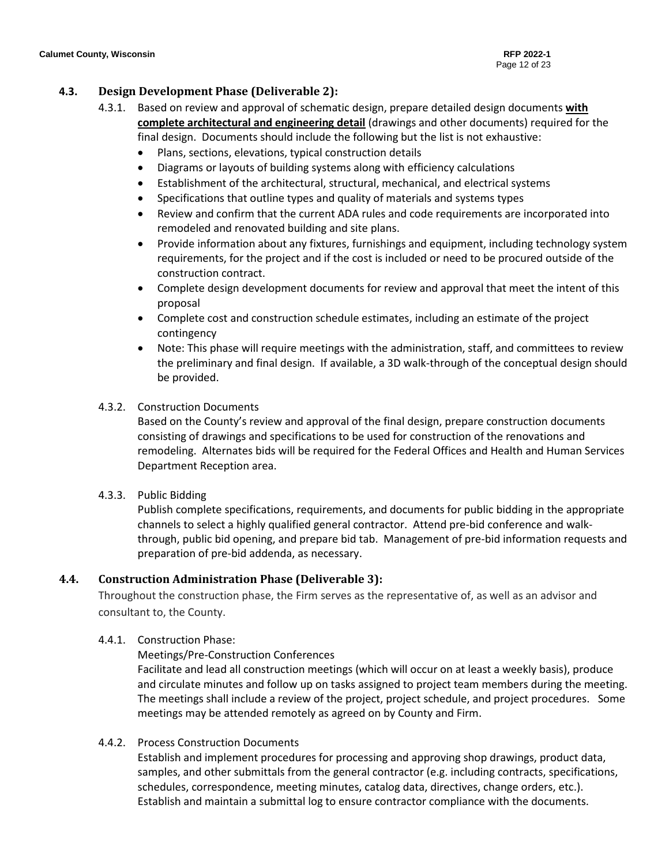#### <span id="page-11-0"></span>**4.3. Design Development Phase (Deliverable 2):**

- 4.3.1. Based on review and approval of schematic design, prepare detailed design documents **with complete architectural and engineering detail** (drawings and other documents) required for the final design. Documents should include the following but the list is not exhaustive:
	- Plans, sections, elevations, typical construction details
	- Diagrams or layouts of building systems along with efficiency calculations
	- Establishment of the architectural, structural, mechanical, and electrical systems
	- Specifications that outline types and quality of materials and systems types
	- Review and confirm that the current ADA rules and code requirements are incorporated into remodeled and renovated building and site plans.
	- Provide information about any fixtures, furnishings and equipment, including technology system requirements, for the project and if the cost is included or need to be procured outside of the construction contract.
	- Complete design development documents for review and approval that meet the intent of this proposal
	- Complete cost and construction schedule estimates, including an estimate of the project contingency
	- Note: This phase will require meetings with the administration, staff, and committees to review the preliminary and final design. If available, a 3D walk-through of the conceptual design should be provided.

#### 4.3.2. Construction Documents

Based on the County's review and approval of the final design, prepare construction documents consisting of drawings and specifications to be used for construction of the renovations and remodeling. Alternates bids will be required for the Federal Offices and Health and Human Services Department Reception area.

#### 4.3.3. Public Bidding

Publish complete specifications, requirements, and documents for public bidding in the appropriate channels to select a highly qualified general contractor. Attend pre-bid conference and walkthrough, public bid opening, and prepare bid tab. Management of pre-bid information requests and preparation of pre-bid addenda, as necessary.

#### <span id="page-11-1"></span>**4.4. Construction Administration Phase (Deliverable 3):**

Throughout the construction phase, the Firm serves as the representative of, as well as an advisor and consultant to, the County.

- 4.4.1. Construction Phase:
	- Meetings/Pre-Construction Conferences

Facilitate and lead all construction meetings (which will occur on at least a weekly basis), produce and circulate minutes and follow up on tasks assigned to project team members during the meeting. The meetings shall include a review of the project, project schedule, and project procedures. Some meetings may be attended remotely as agreed on by County and Firm.

4.4.2. Process Construction Documents

Establish and implement procedures for processing and approving shop drawings, product data, samples, and other submittals from the general contractor (e.g. including contracts, specifications, schedules, correspondence, meeting minutes, catalog data, directives, change orders, etc.). Establish and maintain a submittal log to ensure contractor compliance with the documents.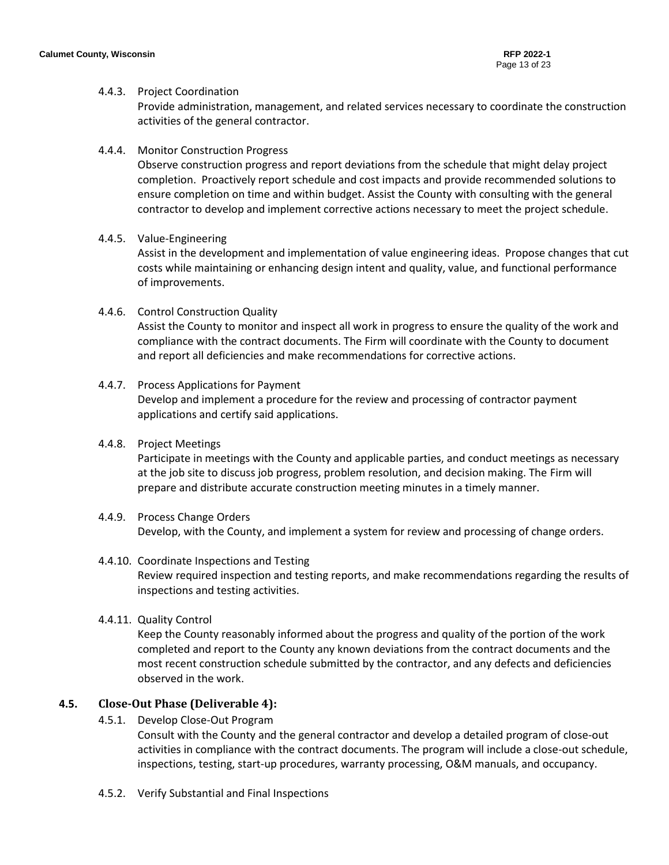#### 4.4.3. Project Coordination

Provide administration, management, and related services necessary to coordinate the construction activities of the general contractor.

#### 4.4.4. Monitor Construction Progress

Observe construction progress and report deviations from the schedule that might delay project completion. Proactively report schedule and cost impacts and provide recommended solutions to ensure completion on time and within budget. Assist the County with consulting with the general contractor to develop and implement corrective actions necessary to meet the project schedule.

#### 4.4.5. Value-Engineering

Assist in the development and implementation of value engineering ideas. Propose changes that cut costs while maintaining or enhancing design intent and quality, value, and functional performance of improvements.

#### 4.4.6. Control Construction Quality

Assist the County to monitor and inspect all work in progress to ensure the quality of the work and compliance with the contract documents. The Firm will coordinate with the County to document and report all deficiencies and make recommendations for corrective actions.

#### 4.4.7. Process Applications for Payment Develop and implement a procedure for the review and processing of contractor payment applications and certify said applications.

#### 4.4.8. Project Meetings

Participate in meetings with the County and applicable parties, and conduct meetings as necessary at the job site to discuss job progress, problem resolution, and decision making. The Firm will prepare and distribute accurate construction meeting minutes in a timely manner.

#### 4.4.9. Process Change Orders Develop, with the County, and implement a system for review and processing of change orders.

#### 4.4.10. Coordinate Inspections and Testing Review required inspection and testing reports, and make recommendations regarding the results of inspections and testing activities.

#### 4.4.11. Quality Control

Keep the County reasonably informed about the progress and quality of the portion of the work completed and report to the County any known deviations from the contract documents and the most recent construction schedule submitted by the contractor, and any defects and deficiencies observed in the work.

#### <span id="page-12-0"></span>**4.5. Close-Out Phase (Deliverable 4):**

#### 4.5.1. Develop Close-Out Program

Consult with the County and the general contractor and develop a detailed program of close-out activities in compliance with the contract documents. The program will include a close-out schedule, inspections, testing, start-up procedures, warranty processing, O&M manuals, and occupancy.

4.5.2. Verify Substantial and Final Inspections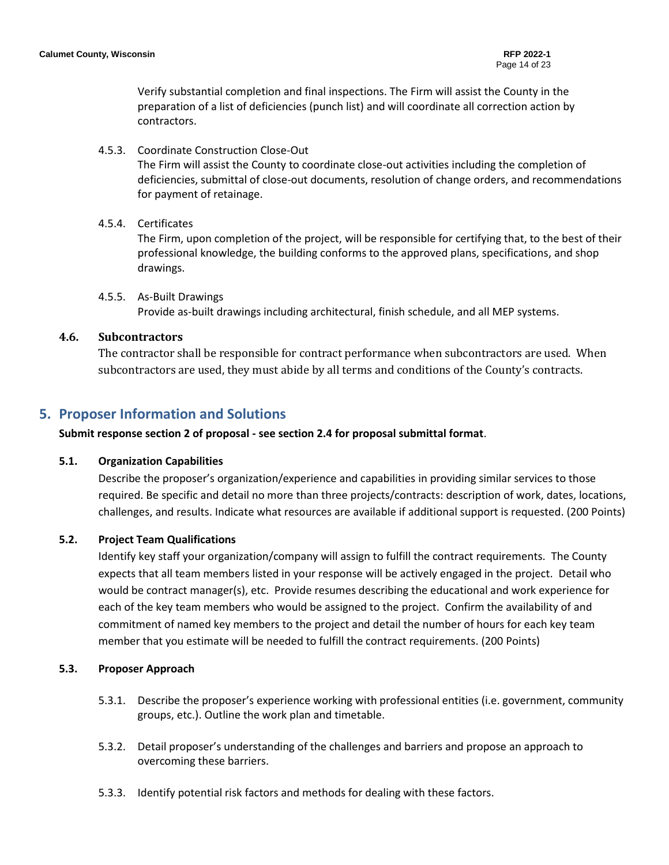Verify substantial completion and final inspections. The Firm will assist the County in the preparation of a list of deficiencies (punch list) and will coordinate all correction action by contractors.

#### 4.5.3. Coordinate Construction Close-Out

The Firm will assist the County to coordinate close-out activities including the completion of deficiencies, submittal of close-out documents, resolution of change orders, and recommendations for payment of retainage.

#### 4.5.4. Certificates

The Firm, upon completion of the project, will be responsible for certifying that, to the best of their professional knowledge, the building conforms to the approved plans, specifications, and shop drawings.

#### 4.5.5. As-Built Drawings

Provide as-built drawings including architectural, finish schedule, and all MEP systems.

#### <span id="page-13-0"></span>**4.6. Subcontractors**

The contractor shall be responsible for contract performance when subcontractors are used. When subcontractors are used, they must abide by all terms and conditions of the County's contracts.

### <span id="page-13-1"></span>**5. Proposer Information and Solutions**

**Submit response section 2 of proposal - see section 2.4 for proposal submittal format**.

#### <span id="page-13-2"></span>**5.1. Organization Capabilities**

Describe the proposer's organization/experience and capabilities in providing similar services to those required. Be specific and detail no more than three projects/contracts: description of work, dates, locations, challenges, and results. Indicate what resources are available if additional support is requested. (200 Points)

#### <span id="page-13-3"></span>**5.2. Project Team Qualifications**

Identify key staff your organization/company will assign to fulfill the contract requirements. The County expects that all team members listed in your response will be actively engaged in the project. Detail who would be contract manager(s), etc. Provide resumes describing the educational and work experience for each of the key team members who would be assigned to the project. Confirm the availability of and commitment of named key members to the project and detail the number of hours for each key team member that you estimate will be needed to fulfill the contract requirements. (200 Points)

#### <span id="page-13-4"></span>**5.3. Proposer Approach**

- 5.3.1. Describe the proposer's experience working with professional entities (i.e. government, community groups, etc.). Outline the work plan and timetable.
- 5.3.2. Detail proposer's understanding of the challenges and barriers and propose an approach to overcoming these barriers.
- 5.3.3. Identify potential risk factors and methods for dealing with these factors.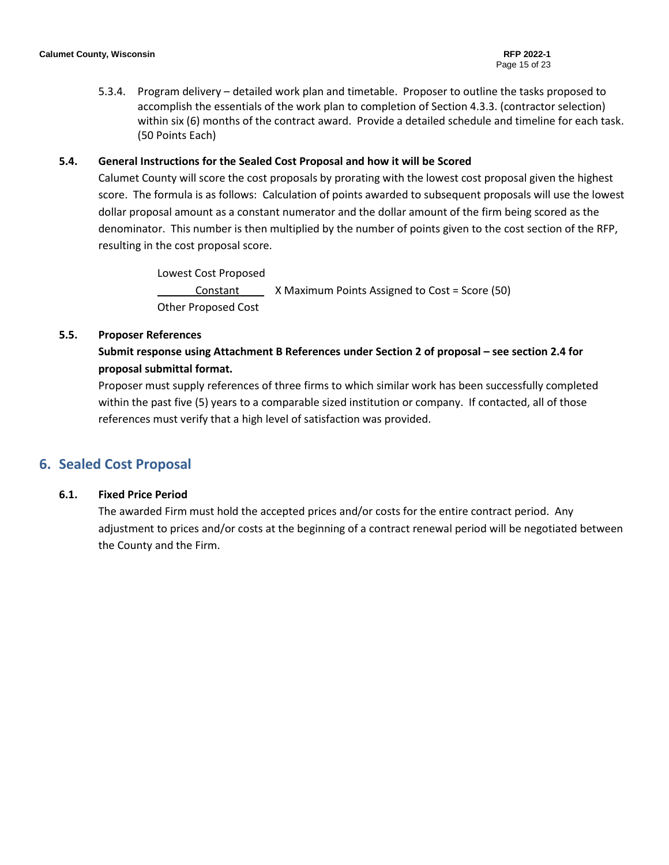5.3.4. Program delivery – detailed work plan and timetable. Proposer to outline the tasks proposed to accomplish the essentials of the work plan to completion of Section 4.3.3. (contractor selection) within six (6) months of the contract award. Provide a detailed schedule and timeline for each task. (50 Points Each)

#### <span id="page-14-0"></span>**5.4. General Instructions for the Sealed Cost Proposal and how it will be Scored**

Calumet County will score the cost proposals by prorating with the lowest cost proposal given the highest score. The formula is as follows: Calculation of points awarded to subsequent proposals will use the lowest dollar proposal amount as a constant numerator and the dollar amount of the firm being scored as the denominator. This number is then multiplied by the number of points given to the cost section of the RFP, resulting in the cost proposal score.

> Lowest Cost Proposed Constant \_ X Maximum Points Assigned to Cost = Score (50) Other Proposed Cost

#### <span id="page-14-1"></span>**5.5. Proposer References**

# **Submit response using Attachment B References under Section 2 of proposal – see section 2.4 for proposal submittal format.**

Proposer must supply references of three firms to which similar work has been successfully completed within the past five (5) years to a comparable sized institution or company. If contacted, all of those references must verify that a high level of satisfaction was provided.

## <span id="page-14-3"></span><span id="page-14-2"></span>**6. Sealed Cost Proposal**

#### **6.1. Fixed Price Period**

The awarded Firm must hold the accepted prices and/or costs for the entire contract period. Any adjustment to prices and/or costs at the beginning of a contract renewal period will be negotiated between the County and the Firm.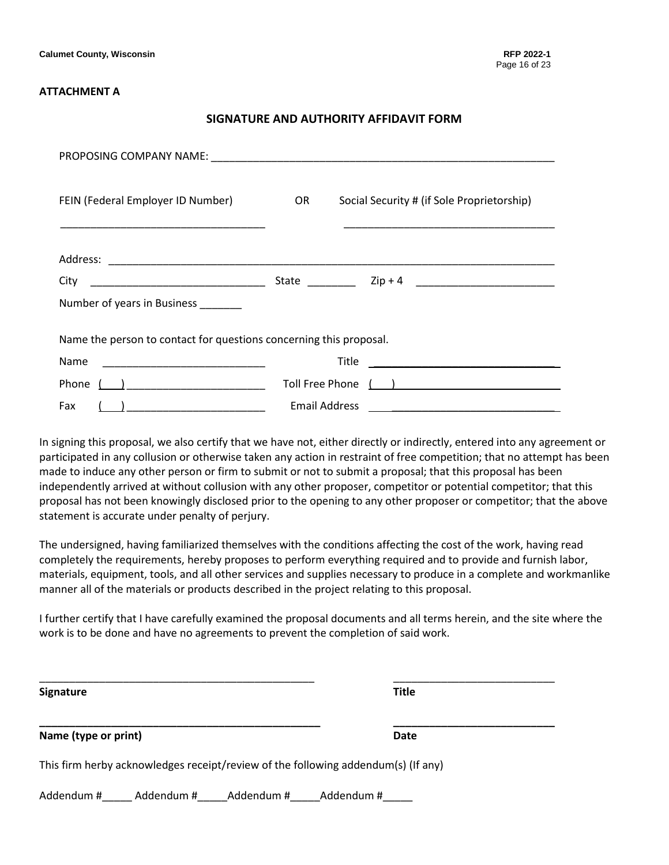#### **ATTACHMENT A**

#### **SIGNATURE AND AUTHORITY AFFIDAVIT FORM**

| FEIN (Federal Employer ID Number)                                  | OR. | Social Security # (if Sole Proprietorship)                |
|--------------------------------------------------------------------|-----|-----------------------------------------------------------|
|                                                                    |     |                                                           |
| City                                                               |     |                                                           |
| Number of years in Business                                        |     |                                                           |
| Name the person to contact for questions concerning this proposal. |     |                                                           |
| Name                                                               |     | Title<br><u> 1980 - Andrea Station Barbara (h. 1980).</u> |
| Phone $\begin{pmatrix} 1 & 1 \\ 1 & 1 \end{pmatrix}$               |     |                                                           |
| Fax<br><u>( ) ___________________________</u>                      |     | <b>Email Address</b>                                      |

In signing this proposal, we also certify that we have not, either directly or indirectly, entered into any agreement or participated in any collusion or otherwise taken any action in restraint of free competition; that no attempt has been made to induce any other person or firm to submit or not to submit a proposal; that this proposal has been independently arrived at without collusion with any other proposer, competitor or potential competitor; that this proposal has not been knowingly disclosed prior to the opening to any other proposer or competitor; that the above statement is accurate under penalty of perjury.

The undersigned, having familiarized themselves with the conditions affecting the cost of the work, having read completely the requirements, hereby proposes to perform everything required and to provide and furnish labor, materials, equipment, tools, and all other services and supplies necessary to produce in a complete and workmanlike manner all of the materials or products described in the project relating to this proposal.

I further certify that I have carefully examined the proposal documents and all terms herein, and the site where the work is to be done and have no agreements to prevent the completion of said work.

| <b>Signature</b>                                                                  | <b>Title</b> |
|-----------------------------------------------------------------------------------|--------------|
| Name (type or print)                                                              | <b>Date</b>  |
| This firm herby acknowledges receipt/review of the following addendum(s) (If any) |              |
| Addendum #<br>Addendum #<br>Addendum #                                            | Addendum #   |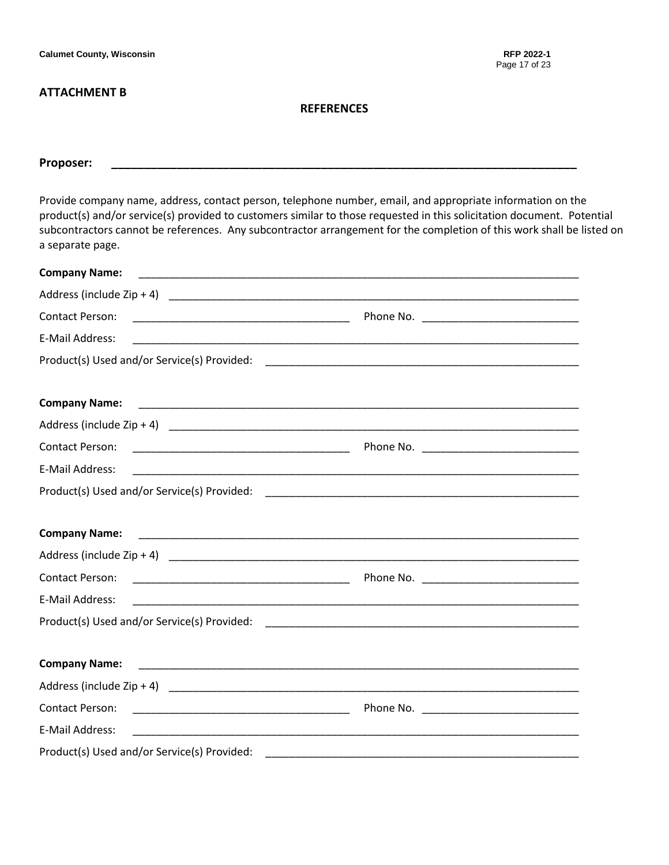**Calumet County, Wisconsin RFP 2022-1**

#### **ATTACHMENT B**

#### **REFERENCES**

# **Proposer: \_\_\_\_\_\_\_\_\_\_\_\_\_\_\_\_\_\_\_\_\_\_\_\_\_\_\_\_\_\_\_\_\_\_\_\_\_\_\_\_\_\_\_\_\_\_\_\_\_\_\_\_\_\_\_\_\_\_\_\_\_\_\_\_\_\_\_\_\_\_\_**

Provide company name, address, contact person, telephone number, email, and appropriate information on the product(s) and/or service(s) provided to customers similar to those requested in this solicitation document. Potential subcontractors cannot be references. Any subcontractor arrangement for the completion of this work shall be listed on a separate page.

| <b>Company Name:</b>                                                                                                                           |  |
|------------------------------------------------------------------------------------------------------------------------------------------------|--|
|                                                                                                                                                |  |
| Contact Person:                                                                                                                                |  |
| E-Mail Address:                                                                                                                                |  |
|                                                                                                                                                |  |
| <b>Company Name:</b>                                                                                                                           |  |
| Address (include Zip + 4) $\overline{\phantom{a}}$                                                                                             |  |
| <b>Contact Person:</b><br><u> 1980 - Jan Barbara Barbara, manazarta da kasas da kasas da kasas da kasas da kasas da kasas da kasas da kasa</u> |  |
| E-Mail Address:                                                                                                                                |  |
|                                                                                                                                                |  |
|                                                                                                                                                |  |
| <b>Company Name:</b>                                                                                                                           |  |
|                                                                                                                                                |  |
| Contact Person:                                                                                                                                |  |
| E-Mail Address:                                                                                                                                |  |
|                                                                                                                                                |  |
| <b>Company Name:</b>                                                                                                                           |  |
|                                                                                                                                                |  |
| Contact Person:                                                                                                                                |  |
| E-Mail Address:                                                                                                                                |  |
| Product(s) Used and/or Service(s) Provided:                                                                                                    |  |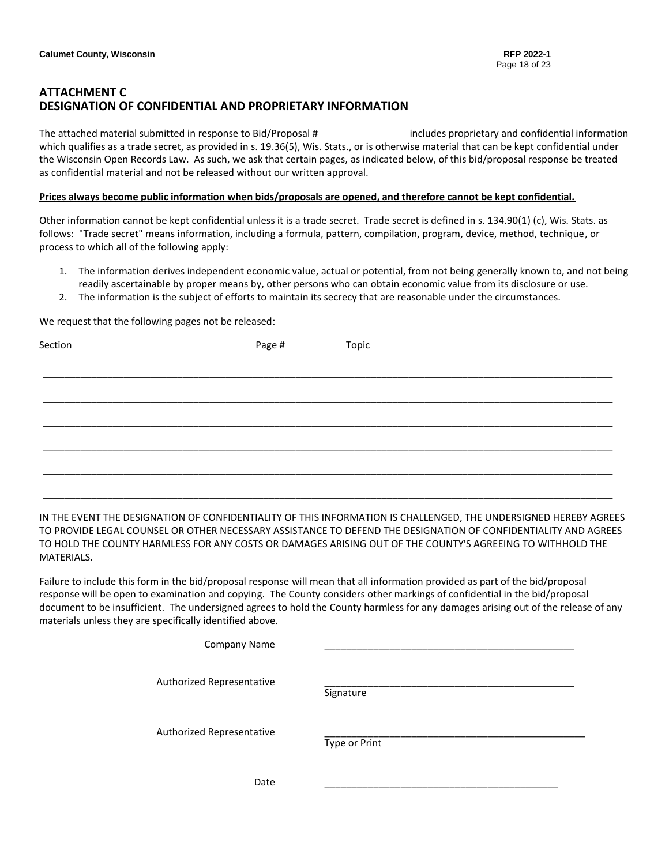## **ATTACHMENT C DESIGNATION OF CONFIDENTIAL AND PROPRIETARY INFORMATION**

The attached material submitted in response to Bid/Proposal # includes proprietary and confidential information which qualifies as a trade secret, as provided in s. 19.36(5), Wis. Stats., or is otherwise material that can be kept confidential under the Wisconsin Open Records Law. As such, we ask that certain pages, as indicated below, of this bid/proposal response be treated as confidential material and not be released without our written approval.

#### **Prices always become public information when bids/proposals are opened, and therefore cannot be kept confidential.**

Other information cannot be kept confidential unless it is a trade secret. Trade secret is defined in s. 134.90(1) (c), Wis. Stats. as follows: "Trade secret" means information, including a formula, pattern, compilation, program, device, method, technique, or process to which all of the following apply:

- 1. The information derives independent economic value, actual or potential, from not being generally known to, and not being readily ascertainable by proper means by, other persons who can obtain economic value from its disclosure or use.
- 2. The information is the subject of efforts to maintain its secrecy that are reasonable under the circumstances.

We request that the following pages not be released:

| Section | Page # | Topic |
|---------|--------|-------|
|         |        |       |
|         |        |       |
|         |        |       |
|         |        |       |
|         |        |       |
|         |        |       |

IN THE EVENT THE DESIGNATION OF CONFIDENTIALITY OF THIS INFORMATION IS CHALLENGED, THE UNDERSIGNED HEREBY AGREES TO PROVIDE LEGAL COUNSEL OR OTHER NECESSARY ASSISTANCE TO DEFEND THE DESIGNATION OF CONFIDENTIALITY AND AGREES TO HOLD THE COUNTY HARMLESS FOR ANY COSTS OR DAMAGES ARISING OUT OF THE COUNTY'S AGREEING TO WITHHOLD THE MATERIALS.

Failure to include this form in the bid/proposal response will mean that all information provided as part of the bid/proposal response will be open to examination and copying. The County considers other markings of confidential in the bid/proposal document to be insufficient. The undersigned agrees to hold the County harmless for any damages arising out of the release of any materials unless they are specifically identified above.

| <b>Company Name</b>       |               |
|---------------------------|---------------|
| Authorized Representative | Signature     |
| Authorized Representative | Type or Print |
| Date                      |               |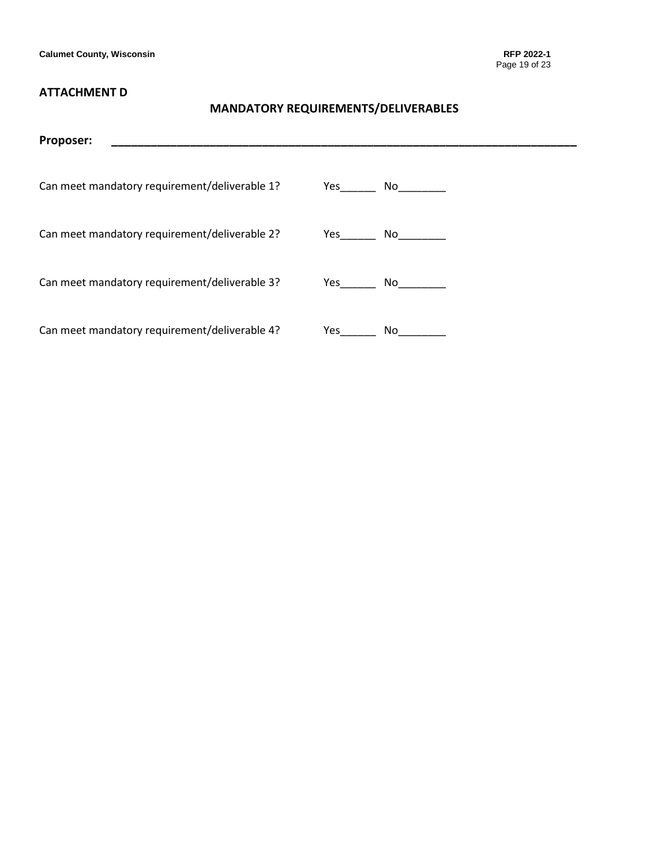## **ATTACHMENT D**

# **MANDATORY REQUIREMENTS/DELIVERABLES**

| Proposer:                                     |        |
|-----------------------------------------------|--------|
|                                               |        |
| Can meet mandatory requirement/deliverable 1? | Yes No |
|                                               |        |
| Can meet mandatory requirement/deliverable 2? | Yes No |
|                                               |        |
| Can meet mandatory requirement/deliverable 3? | Yes No |
|                                               |        |
| Can meet mandatory requirement/deliverable 4? | Yes    |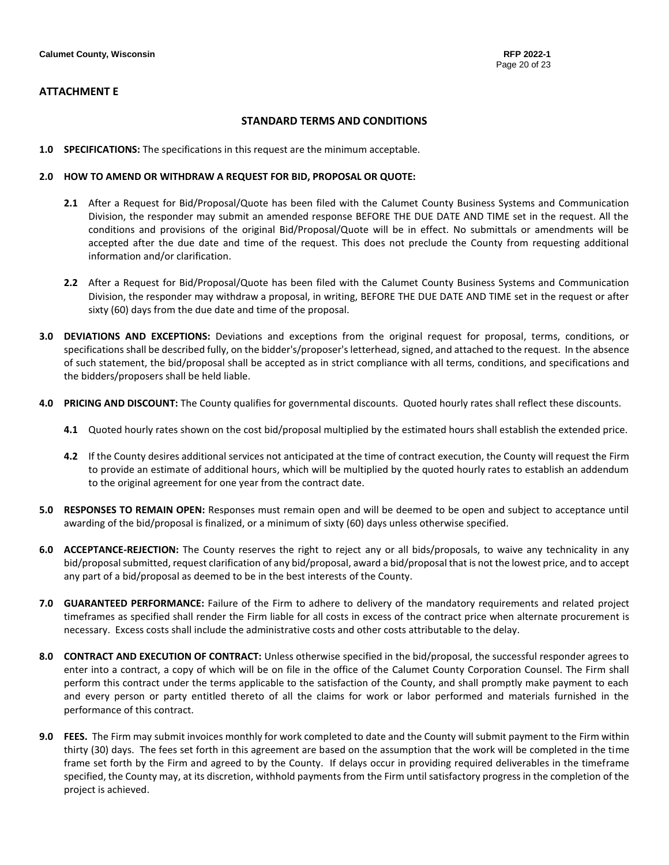#### **STANDARD TERMS AND CONDITIONS**

**1.0 SPECIFICATIONS:** The specifications in this request are the minimum acceptable.

#### **2.0 HOW TO AMEND OR WITHDRAW A REQUEST FOR BID, PROPOSAL OR QUOTE:**

- **2.1** After a Request for Bid/Proposal/Quote has been filed with the Calumet County Business Systems and Communication Division, the responder may submit an amended response BEFORE THE DUE DATE AND TIME set in the request. All the conditions and provisions of the original Bid/Proposal/Quote will be in effect. No submittals or amendments will be accepted after the due date and time of the request. This does not preclude the County from requesting additional information and/or clarification.
- **2.2** After a Request for Bid/Proposal/Quote has been filed with the Calumet County Business Systems and Communication Division, the responder may withdraw a proposal, in writing, BEFORE THE DUE DATE AND TIME set in the request or after sixty (60) days from the due date and time of the proposal.
- **3.0 DEVIATIONS AND EXCEPTIONS:** Deviations and exceptions from the original request for proposal, terms, conditions, or specifications shall be described fully, on the bidder's/proposer's letterhead, signed, and attached to the request. In the absence of such statement, the bid/proposal shall be accepted as in strict compliance with all terms, conditions, and specifications and the bidders/proposers shall be held liable.
- **4.0 PRICING AND DISCOUNT:** The County qualifies for governmental discounts. Quoted hourly rates shall reflect these discounts.
	- **4.1** Quoted hourly rates shown on the cost bid/proposal multiplied by the estimated hours shall establish the extended price.
	- **4.2** If the County desires additional services not anticipated at the time of contract execution, the County will request the Firm to provide an estimate of additional hours, which will be multiplied by the quoted hourly rates to establish an addendum to the original agreement for one year from the contract date.
- **5.0 RESPONSES TO REMAIN OPEN:** Responses must remain open and will be deemed to be open and subject to acceptance until awarding of the bid/proposal is finalized, or a minimum of sixty (60) days unless otherwise specified.
- **6.0 ACCEPTANCE-REJECTION:** The County reserves the right to reject any or all bids/proposals, to waive any technicality in any bid/proposal submitted, request clarification of any bid/proposal, award a bid/proposal that is not the lowest price, and to accept any part of a bid/proposal as deemed to be in the best interests of the County.
- **7.0 GUARANTEED PERFORMANCE:** Failure of the Firm to adhere to delivery of the mandatory requirements and related project timeframes as specified shall render the Firm liable for all costs in excess of the contract price when alternate procurement is necessary. Excess costs shall include the administrative costs and other costs attributable to the delay.
- **8.0 CONTRACT AND EXECUTION OF CONTRACT:** Unless otherwise specified in the bid/proposal, the successful responder agrees to enter into a contract, a copy of which will be on file in the office of the Calumet County Corporation Counsel. The Firm shall perform this contract under the terms applicable to the satisfaction of the County, and shall promptly make payment to each and every person or party entitled thereto of all the claims for work or labor performed and materials furnished in the performance of this contract.
- **9.0 FEES.** The Firm may submit invoices monthly for work completed to date and the County will submit payment to the Firm within thirty (30) days. The fees set forth in this agreement are based on the assumption that the work will be completed in the time frame set forth by the Firm and agreed to by the County. If delays occur in providing required deliverables in the timeframe specified, the County may, at its discretion, withhold payments from the Firm until satisfactory progress in the completion of the project is achieved.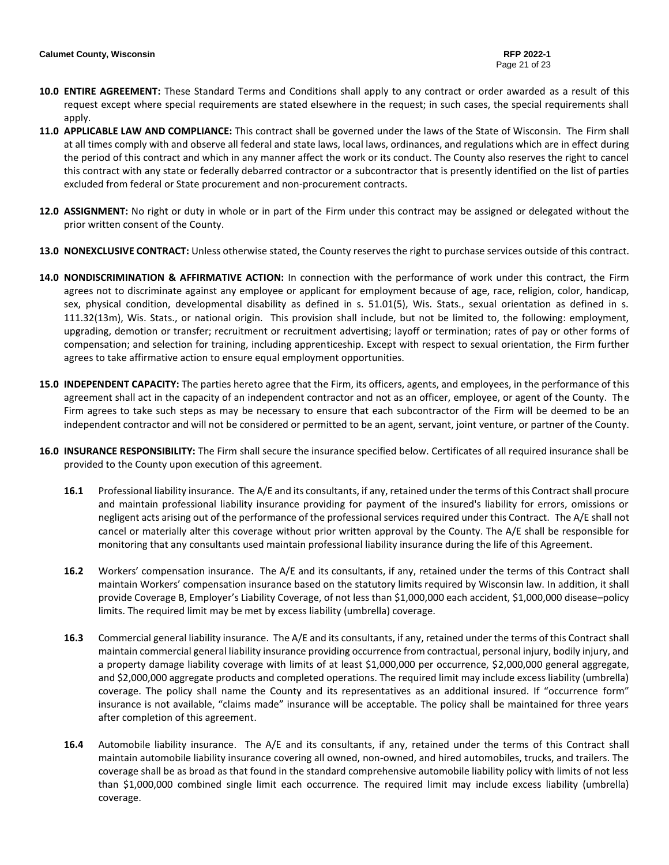- **10.0 ENTIRE AGREEMENT:** These Standard Terms and Conditions shall apply to any contract or order awarded as a result of this request except where special requirements are stated elsewhere in the request; in such cases, the special requirements shall apply.
- **11.0 APPLICABLE LAW AND COMPLIANCE:** This contract shall be governed under the laws of the State of Wisconsin. The Firm shall at all times comply with and observe all federal and state laws, local laws, ordinances, and regulations which are in effect during the period of this contract and which in any manner affect the work or its conduct. The County also reserves the right to cancel this contract with any state or federally debarred contractor or a subcontractor that is presently identified on the list of parties excluded from federal or State procurement and non-procurement contracts.
- **12.0 ASSIGNMENT:** No right or duty in whole or in part of the Firm under this contract may be assigned or delegated without the prior written consent of the County.
- **13.0 NONEXCLUSIVE CONTRACT:** Unless otherwise stated, the County reserves the right to purchase services outside of this contract.
- **14.0 NONDISCRIMINATION & AFFIRMATIVE ACTION:** In connection with the performance of work under this contract, the Firm agrees not to discriminate against any employee or applicant for employment because of age, race, religion, color, handicap, sex, physical condition, developmental disability as defined in s. 51.01(5), Wis. Stats., sexual orientation as defined in s. 111.32(13m), Wis. Stats., or national origin. This provision shall include, but not be limited to, the following: employment, upgrading, demotion or transfer; recruitment or recruitment advertising; layoff or termination; rates of pay or other forms of compensation; and selection for training, including apprenticeship. Except with respect to sexual orientation, the Firm further agrees to take affirmative action to ensure equal employment opportunities.
- **15.0 INDEPENDENT CAPACITY:** The parties hereto agree that the Firm, its officers, agents, and employees, in the performance of this agreement shall act in the capacity of an independent contractor and not as an officer, employee, or agent of the County. The Firm agrees to take such steps as may be necessary to ensure that each subcontractor of the Firm will be deemed to be an independent contractor and will not be considered or permitted to be an agent, servant, joint venture, or partner of the County.
- **16.0 INSURANCE RESPONSIBILITY:** The Firm shall secure the insurance specified below. Certificates of all required insurance shall be provided to the County upon execution of this agreement.
	- **16.1** Professional liability insurance. The A/E and its consultants, if any, retained under the terms of this Contractshall procure and maintain professional liability insurance providing for payment of the insured's liability for errors, omissions or negligent acts arising out of the performance of the professional services required under this Contract. The A/E shall not cancel or materially alter this coverage without prior written approval by the County. The A/E shall be responsible for monitoring that any consultants used maintain professional liability insurance during the life of this Agreement.
	- **16.2** Workers' compensation insurance. The A/E and its consultants, if any, retained under the terms of this Contract shall maintain Workers' compensation insurance based on the statutory limits required by Wisconsin law. In addition, it shall provide Coverage B, Employer's Liability Coverage, of not less than \$1,000,000 each accident, \$1,000,000 disease–policy limits. The required limit may be met by excess liability (umbrella) coverage.
	- **16.3** Commercial general liability insurance. The A/E and its consultants, if any, retained under the terms of this Contract shall maintain commercial general liability insurance providing occurrence from contractual, personal injury, bodily injury, and a property damage liability coverage with limits of at least \$1,000,000 per occurrence, \$2,000,000 general aggregate, and \$2,000,000 aggregate products and completed operations. The required limit may include excess liability (umbrella) coverage. The policy shall name the County and its representatives as an additional insured. If "occurrence form" insurance is not available, "claims made" insurance will be acceptable. The policy shall be maintained for three years after completion of this agreement.
	- **16.4** Automobile liability insurance. The A/E and its consultants, if any, retained under the terms of this Contract shall maintain automobile liability insurance covering all owned, non-owned, and hired automobiles, trucks, and trailers. The coverage shall be as broad as that found in the standard comprehensive automobile liability policy with limits of not less than \$1,000,000 combined single limit each occurrence. The required limit may include excess liability (umbrella) coverage.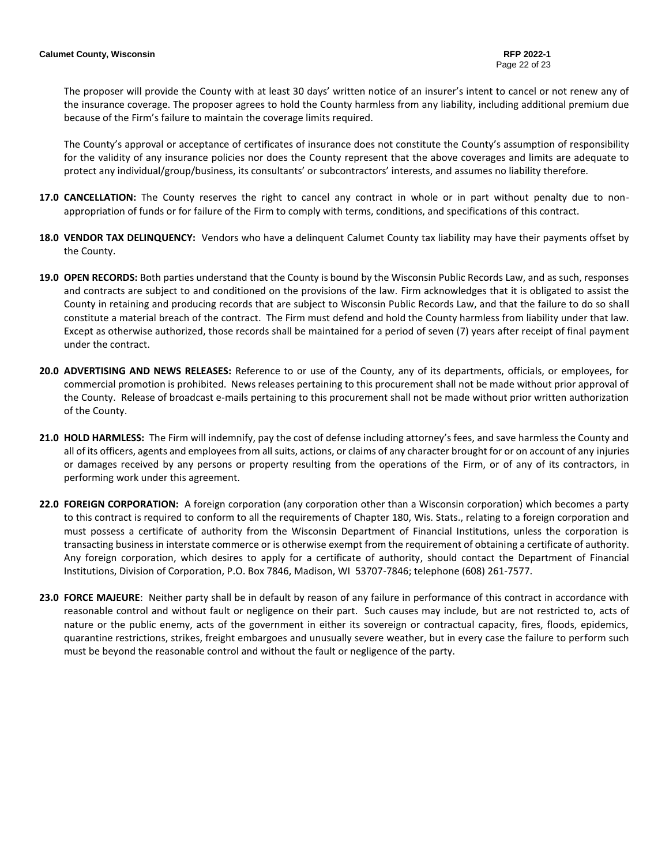The proposer will provide the County with at least 30 days' written notice of an insurer's intent to cancel or not renew any of the insurance coverage. The proposer agrees to hold the County harmless from any liability, including additional premium due because of the Firm's failure to maintain the coverage limits required.

The County's approval or acceptance of certificates of insurance does not constitute the County's assumption of responsibility for the validity of any insurance policies nor does the County represent that the above coverages and limits are adequate to protect any individual/group/business, its consultants' or subcontractors' interests, and assumes no liability therefore.

- **17.0 CANCELLATION:** The County reserves the right to cancel any contract in whole or in part without penalty due to nonappropriation of funds or for failure of the Firm to comply with terms, conditions, and specifications of this contract.
- **18.0 VENDOR TAX DELINQUENCY:** Vendors who have a delinquent Calumet County tax liability may have their payments offset by the County.
- **19.0 OPEN RECORDS:** Both parties understand that the County is bound by the Wisconsin Public Records Law, and as such, responses and contracts are subject to and conditioned on the provisions of the law. Firm acknowledges that it is obligated to assist the County in retaining and producing records that are subject to Wisconsin Public Records Law, and that the failure to do so shall constitute a material breach of the contract. The Firm must defend and hold the County harmless from liability under that law. Except as otherwise authorized, those records shall be maintained for a period of seven (7) years after receipt of final payment under the contract.
- **20.0 ADVERTISING AND NEWS RELEASES:** Reference to or use of the County, any of its departments, officials, or employees, for commercial promotion is prohibited. News releases pertaining to this procurement shall not be made without prior approval of the County. Release of broadcast e-mails pertaining to this procurement shall not be made without prior written authorization of the County.
- **21.0 HOLD HARMLESS:** The Firm will indemnify, pay the cost of defense including attorney's fees, and save harmless the County and all of its officers, agents and employees from all suits, actions, or claims of any character brought for or on account of any injuries or damages received by any persons or property resulting from the operations of the Firm, or of any of its contractors, in performing work under this agreement.
- **22.0 FOREIGN CORPORATION:** A foreign corporation (any corporation other than a Wisconsin corporation) which becomes a party to this contract is required to conform to all the requirements of Chapter 180, Wis. Stats., relating to a foreign corporation and must possess a certificate of authority from the Wisconsin Department of Financial Institutions, unless the corporation is transacting business in interstate commerce or is otherwise exempt from the requirement of obtaining a certificate of authority. Any foreign corporation, which desires to apply for a certificate of authority, should contact the Department of Financial Institutions, Division of Corporation, P.O. Box 7846, Madison, WI 53707-7846; telephone (608) 261-7577.
- **23.0 FORCE MAJEURE**: Neither party shall be in default by reason of any failure in performance of this contract in accordance with reasonable control and without fault or negligence on their part. Such causes may include, but are not restricted to, acts of nature or the public enemy, acts of the government in either its sovereign or contractual capacity, fires, floods, epidemics, quarantine restrictions, strikes, freight embargoes and unusually severe weather, but in every case the failure to perform such must be beyond the reasonable control and without the fault or negligence of the party.